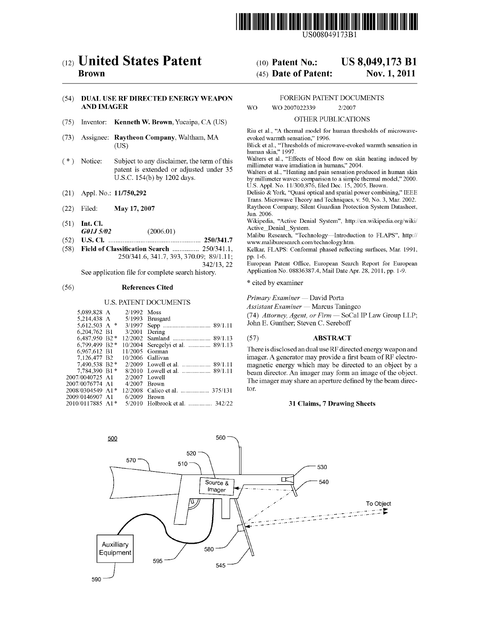

USOO8049 173B1

US 8,049,173 B1

Nov. 1, 2011

# (12) United States Patent

# **Brown**

# (54) DUALUSE RF DIRECTED ENERGY WEAPON AND IMAGER

- (75) Inventor: Kenneth W. Brown, Yucaipa, CA (US)
- (73) Assignee: Raytheon Company, Waltham, MA (US)
- (\*) Notice: Subject to any disclaimer, the term of this patent is extended or adjusted under 35 U.S.C. 154(b) by 1202 days.
- (21) Appl. No.: 11/750,292
- (22) Filed: May 17, 2007
- (51) Int. Cl.  $G01J\,5/02$  (2006.01)
- (52) U.S. Cl. .................................................... 250/341.7
- (58) Field of Classification Search ............... 250/341.1, 250/341.6, 341.7, 393,370.09: 89/1.11:
	- 342/13, 22

See application file for complete search history.

# (56) References Cited

#### U.S. PATENT DOCUMENTS

| 5,089,828 A      | $2/1992$ Moss |                                   |
|------------------|---------------|-----------------------------------|
| 5.214.438 A      | 5/1993        | Brusgard                          |
| 5,612,503 A $*$  | 3/1997        |                                   |
| 6,204,762 B1     | 3/2001        | Dering                            |
| 6.487.950 B2 *   |               |                                   |
| 6,799,499 B2*    |               | 10/2004 Seregelyi et al.  89/1.13 |
| 6.967.612 B1     |               | 11/2005 Gorman                    |
| 7.126.477 B2     |               | $10/2006$ Gallivan                |
| 7,490,538 B2 *   |               | 2/2009 Lowell et al.  89/1.11     |
| 7.784.390 B1*    |               |                                   |
| 2007/0040725 A1  | 2/2007        | Lowell                            |
| 2007/0076774 A1  | 4/2007        | <b>Brown</b>                      |
| 2008/0304549 A1* |               | 12/2008 Calico et al.  375/131    |
| 2009/0146907 A1  | 6/2009        | <b>Brown</b>                      |
| 2010/0117885 A1* | 5/2010        | Holbrook et al.  342/22           |
|                  |               |                                   |

#### FOREIGN PATENT DOCUMENTS

WO WO 2007022339 2/2007

(10) Patent No.: (45) Date of Patent:

#### OTHER PUBLICATIONS

Riu et al., "A thermal model for human thresholds of microwave evoked warmth sensation," 1996.

Blick et al., "Thresholds of microwave-evoked warmth sensation in human skin," 1997.<br>Walters et al., "Effects of blood flow on skin heating induced by

millimeter wave irradiation in humans." 2004.

Walters et al., "Heating and pain sensation produced in human skin by millimeter waves: comparison to a simple thermal model." 2000. U.S. Appl. No. 1 1/300,876, filed Dec. 15, 2005, Brown.

Delisio & York, "Quasi optical and spatial power combining." IEEE Trans. Microwave Theory and Techniques, v. 50, No. 3, Mar. 2002. Raytheon Company, Silent Guardian Protection System Datasheet, Jun. 2006.

Wikipedia, "Active Denial System", http://en.wikipedia.org/wiki/<br>Active Denial System.

Malibu Research, "Technology—Introduction to FLAPS", http:// www.maliburesearch.com/technology.htm.

Kelkar, FLAPS: Conformal phased reflecting surfaces, Mar. 1991, pp. 1-6.

European Patent Office, European Search Report for European Application No. 08836387.4, Mail Date Apr. 28, 2011, pp. 1-9.

\* cited by examiner

Primary Examiner — David Porta

Assistant Examiner — Marcus Taningco

(74) Attorney, Agent, or Firm — SoCal IP Law Group LLP: John E. Gunther; Steven C. Sereboff

# (57) ABSTRACT

There is disclosedan dual use RF directed energy weapon and imager. A generator may provide a first beam of RF electro magnetic energy which may be directed to an object by a beam director. An imager may form an image of the object. The imager may share an aperture defined by the beam direc tOr.

#### 31 Claims, 7 Drawing Sheets

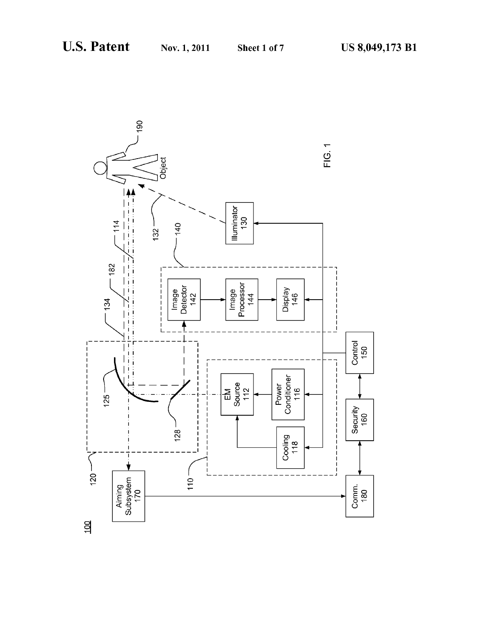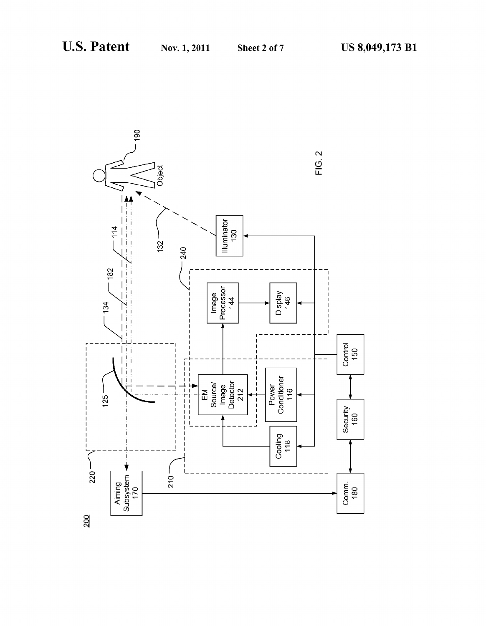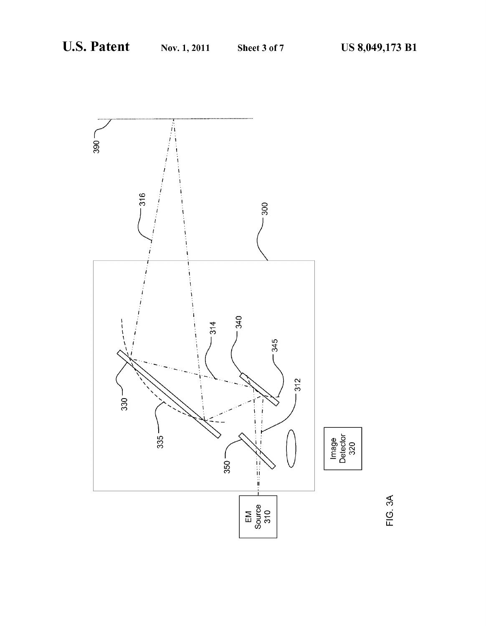

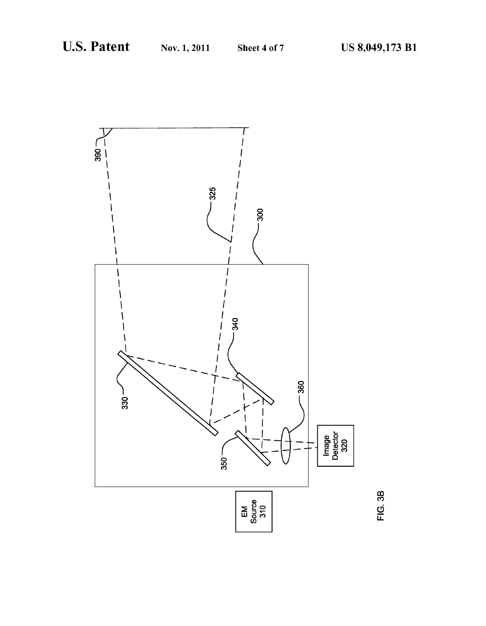

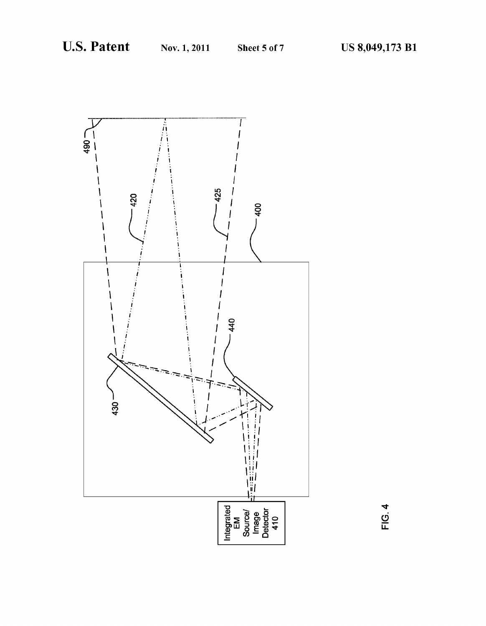

**FIG. 4**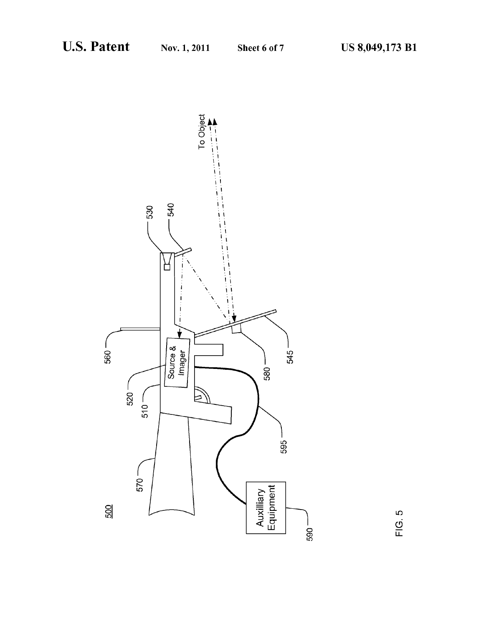

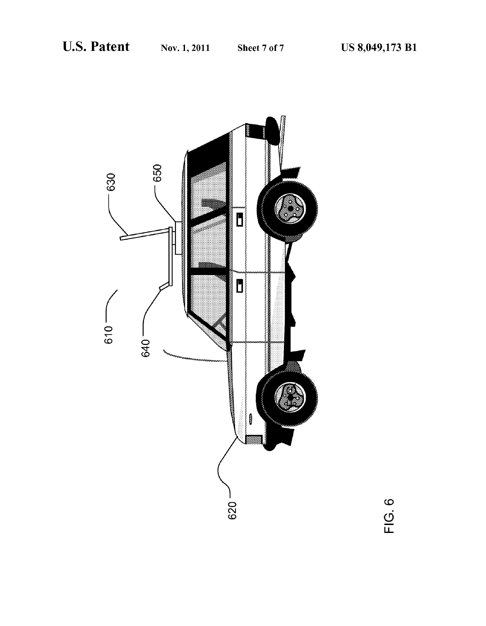

FIG. 6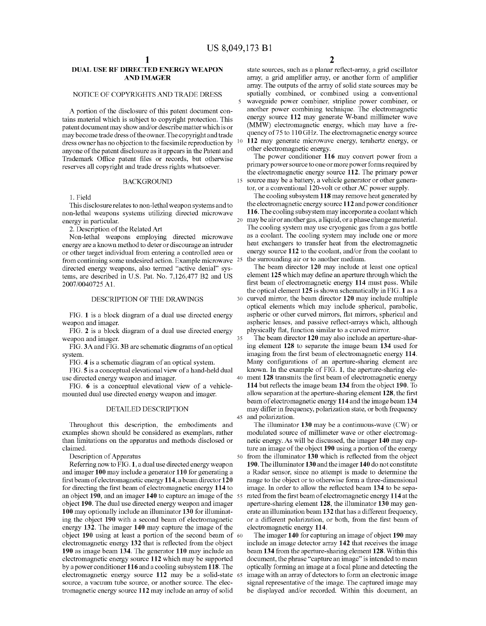10

35

45

# DUAL USE RF DIRECTED ENERGY WEAPON AND IMAGER

# NOTICE OF COPYRIGHTS AND TRADE DRESS

A portion of the disclosure of this patent document con tains material which is subject to copyright protection. This patent document may show and/or describe matter which is or may become trade dress of the owner. The copyright and trade dress owner has no objection to the facsimile reproduction by anyone of the patent disclosure as it appears in the Patent and Trademark Office patent files or records, but otherwise reserves all copyright and trade dress rights whatsoever.

#### BACKGROUND

1. Field

This disclosure relates to non-lethal weapon systems and to non-lethal weapons systems utilizing directed microwave<br>aparew in particular energy in particular.

2. Description of the Related Art

Non-lethal weapons employing directed microwave energy are a known method to deter or discourage an intruder or other target individual from entering a controlled area or from continuing some undesired action. Example microwave 25 directed energy weapons, also termed "active denial' sys tems, are described in U.S. Pat. No. 7,126,477 B2 and US 2007/004O725A1.

# DESCRIPTION OF THE DRAWINGS

FIG. 1 is a block diagram of a dual use directed energy weapon and imager.

FIG. 2 is a block diagram of a dual use directed energy weapon and imager.

FIG. 3A and FIG. 3B are schematic diagrams of an optical system.

FIG. 4 is a schematic diagram of an optical system.

FIG. 5 is a conceptual elevational view of a hand-held dual use directed energy weapon and imager.

FIG. 6 is a conceptual elevational view of a vehicle mounted dual use directed energy weapon and imager.

#### DETAILED DESCRIPTION

Throughout this description, the embodiments and examples shown should be considered as exemplars, rather than limitations on the apparatus and methods disclosed or claimed.

Description of Apparatus

Referring now to FIG.1, a dual use directed energy weapon and imager 100 may include a generator 110 for generating a first beam of electromagnetic energy 114, a beam director 120 for directing the first beam of electromagnetic energy 114 to an object 190, and an imager 140 to capture an image of the 55 object 190. The dual use directed energy weapon and imager 100 may optionally include an illuminator 130 for illuminat ing the object 190 with a second beam of electromagnetic energy 132. The imager 140 may capture the image of the object 190 using at least a portion of the second beam of 60 electromagnetic energy 132 that is reflected from the object 190 as image beam 134. The generator 110 may include an electromagnetic energy source 112 which may be supported by a power conditioner 116 and a cooling subsystem 118. The electromagnetic energy source 112 may be a solid-state 65 source, a vacuum tube source, or another source. The electromagnetic energy source 112 may include an array of solid

state sources, such as a planar reflect-array, a grid oscillator array, a grid amplifier array, or another form of amplifier array. The outputs of the array of Solid State sources may be spatially combined, or combined using a conventional waveguide power combiner, stripline power combiner, or another power combining technique. The electromagnetic energy source 112 may generate W-band millimeter wave (MMW) electromagnetic energy, which may have a fre quency of 75 to 110 GHz. The electromagnetic energy source 112 may generate microwave energy, terahertz energy, or other electromagnetic energy.

15 Source may be a battery, a vehicle generator or other genera The power conditioner 116 may convert power from a primary power source to one or more power forms required by the electromagnetic energy source 112. The primary power

tor, or a conventional 120-volt or other AC power supply.<br>The cooling subsystem 118 may remove heat generated by the electromagnetic energy source 112 and power conditioner 116. The cooling subsystem may incorporate a coolant which may be air or another gas, a liquid, or a phase change material. The cooling system may use cryogenic gas from a gas bottle as a coolant. The cooling system may include one or more heat exchangers to transfer heat from the electromagnetic energy source 112 to the coolant, and/or from the coolant to the Surrounding air or to another medium.

30 curved mirror, the beam director 120 may include multiple The beam director 120 may include at least one optical element 125 which may define an aperture through which the first beam of electromagnetic energy 114 must pass. While the optical element 125 is shown schematically in FIG.1 as a optical elements which may include spherical, parabolic, aspheric or other curved mirrors, flat mirrors, spherical and aspheric lenses, and passive reflect-arrays which, although physically flat, function similar to a curved mirror.

40 ment 128 transmits the first beam of electromagnetic energy The beam director 120 may also include an aperture-shar ing element 128 to separate the image beam 134 used for imaging from the first beam of electromagnetic energy 114. Many configurations of an aperture-sharing element are known. In the example of FIG. 1, the aperture-sharing ele 114 but reflects the image beam 134 from the object 190. To allow separation at the aperture-sharing element 128, the first beam of electromagnetic energy 114 and the image beam 134 may differ in frequency, polarization state, or both frequency and polarization.

50 from the illuminator 130 which is reflected from the object The illuminator 130 may be a continuous-wave (CW) or modulated source of millimeter wave or other electromagnetic energy. As will be discussed, the imager 140 may capture an image of the object 190 using a portion of the energy 190. The illuminator 130 and the imager 140 do not constitute a Radar sensor, since no attempt is made to determine the range to the object or to otherwise form a three-dimensional image. In order to allow the reflected beam 134 to be sepa rated from the first beam of electromagnetic energy 114 at the aperture-sharing element 128, the illuminator 130 may gen erate an illumination beam 132 that has a different frequency, or a different polarization, or both, from the first beam of electromagnetic energy 114.

The imager 140 for capturing an image of object 190 may include an image detector array 142 that receives the image beam 134 from the aperture-sharing element 128. Within this document, the phrase "capture an image' is intended to mean optically forming an image at a focal plane and detecting the signal representative of the image. The captured image may be displayed and/or recorded. Within this document, an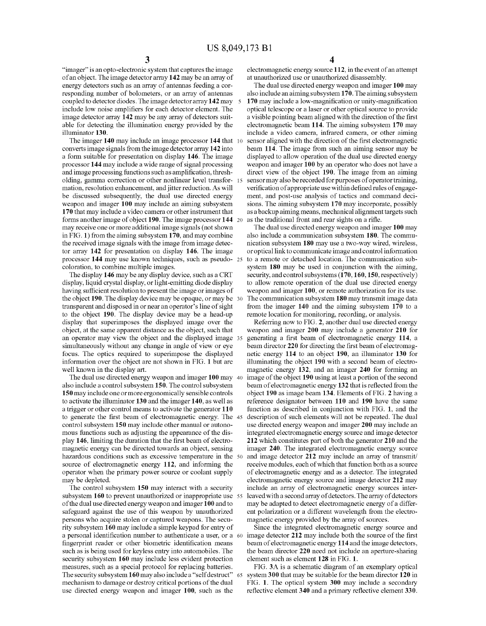"imager" is an opto-electronic system that captures the image of an object. The image detector array 142 may be an array of energy detectors such as an array of antennas feeding a cor responding number of bolometers, or an array of antennas coupled to detector diodes. The image detector array 142 may include low noise amplifiers for each detector element. The image detector array  $142$  may be any array of detectors suitable for detecting the illumination energy provided by the illuminator 130.

The imager 140 may include an image processor 144 that 10 converts image signals from the image detector array 142 into a form suitable for presentation on display 146. The image processor 144 may include a wide range of signal processing and image processing functions such as amplification, thresh olding, gamma correction or other nonlinear level transfor- 15 mation, resolution enhancement, and jitter reduction. As will be discussed subsequently, the dual use directed energy weapon and imager 100 may include an aiming subsystem 170 that may include a video camera or other instrument that forms another image of object 190. The image processor 144 may receive one or more additional image signals (not shown in FIG. 1) from the aiming subsystem 170, and may combine the received image signals with the image from image detec tor array 142 for presentation on display 146. The image processor 144 may use known techniques, such as pseudo- 25 coloration, to combine multiple images.

The display 146 may be any display device, such as a CRT display, liquid crystal display, or light-emitting diode display having sufficient resolution to present the image or images of the object 190. The display device may be opaque, or may be 30 transparent and disposed in or near an operator's line of sight<br>to the object 190. The display device may be a head-up display that superimposes the displayed image over the object, at the same apparent distance as the object, such that an operator may view the object and the displayed image 35 simultaneously without any change in angle of view or eye focus. The optics required to superimpose the displayed information over the object are not shown in FIG. 1 but are well known in the display art.

The dual use directed energy weapon and imager 100 may 40 also include a control subsystem 150. The control subsystem 150 may include one or more ergonomically sensible controls to activate the illuminator 130 and the imager 140, as well as a trigger or other control means to activate the generator 110 to generate the first beam of electromagnetic energy. The 45 control subsystem 150 may include other manual or autono mous functions such as adjusting the appearance of the dis play 146, limiting the duration that the first beam of electro magnetic energy can be directed towards an object, sensing hazardous conditions such as excessive temperature in the 50 source of electromagnetic energy 112, and informing the operator when the primary power source or coolant supply may be depleted.

The control subsystem 150 may interact with a security subsystem 160 to prevent unauthorized or inappropriate use 55 of the dual use directed energy weapon and imager 100 and to safeguard against the use of this weapon by unauthorized persons who acquire stolen or captured weapons. The security subsystem 160 may include a simple keypad for entry of a personal identification number to authenticate a user, or a 60 fingerprint reader or other biometric identification means such as is being used for keyless entry into automobiles. The security subsystem 160 may include less evident protection measures, such as a special protocol for replacing batteries. The security subsystem 160 may also include a "self destruct' mechanism to damage or destroy critical portions of the dual use directed energy weapon and imager 100, such as the 65

electromagnetic energy source 112, in the event of an attempt<br>at unauthorized use or unauthorized disassembly.

The dual use directed energy weapon and imager 100 may also include an aiming subsystem 170. The aiming subsystem 170 may include a low-magnification or unity-magnification optical telescope or a laser or other optical source to provide a visible pointing beam aligned with the direction of the first electromagnetic beam 114. The aiming subsystem 170 may include a video camera, infrared camera, or other aiming sensor aligned with the direction of the first electromagnetic beam 114. The image from such an aiming sensor may be displayed to allow operation of the dual use directed energy weapon and imager 100 by an operator who does not have a direct view of the object 190. The image from an aiming sensor may also be recorded for purposes of operator training, verification of appropriate use within defined rules of engagement, and post-use analysis of tactics and command deci sions. The aiming subsystem 170 may incorporate, possibly as a backup aiming means, mechanical alignment targets Such as the traditional front and rear sights on a rifle.

The dual use directed energy weapon and imager 100 may also include a communication subsystem 180. The communication subsystem 180 may use a two-way wired, wireless, or optical link to communicate image and control information to a remote or detached location. The communication subsystem 180 may be used in conjunction with the aiming, security, and control subsystems  $(170, 160, 150,$  respectively) to allow remote operation of the dual use directed energy weapon and imager 100, or remote authorization for its use. The communication subsystem 180 may transmit image data from the imager 140 and the aiming subsystem 170 to a remote location for monitoring, recording, or analysis.

Referring now to FIG. 2, another dual use directed energy weapon and imager 200 may include a generator 210 for generating a first beam of electromagnetic energy 114, a beam director 220 for directing the first beam of electromag netic energy 114 to an object 190, an illuminator 130 for illuminating the object 190 with a second beam of electro magnetic energy 132, and an imager 240 for forming an image of the object 190 using at least a portion of the second beam of electromagnetic energy 132 that is reflected from the object 190 as image beam 134. Elements of FIG. 2 having a reference designator between 110 and 190 have the same function as described in conjunction with FIG. 1, and the description of such elements will not be repeated. The dual use directed energy weapon and imager 200 may include an integrated electromagnetic energy source and image detector 212 which constitutes part of both the generator 210 and the imager 240. The integrated electromagnetic energy source and image detector 212 may include an array of transmit/ receive modules, each of which that function both as a source of electromagnetic energy and as a detector. The integrated electromagnetic energy source and image detector 212 may include an array of electromagnetic energy sources interleaved with a second array of detectors. The array of detectors may be adapted to detect electromagnetic energy of a differ ent polarization or a different wavelength from the electro magnetic energy provided by the array of sources.

Since the integrated electromagnetic energy source and image detector 212 may include both the source of the first beam of electromagnetic energy 114 and the image detectors, the beam director 220 need not include an aperture-sharing element such as element 128 in FIG. 1.

FIG. 3A is a schematic diagram of an exemplary optical system 300 that may be suitable for the beam director 120 in FIG. 1. The optical system 300 may include a secondary reflective element 340 and a primary reflective element 330.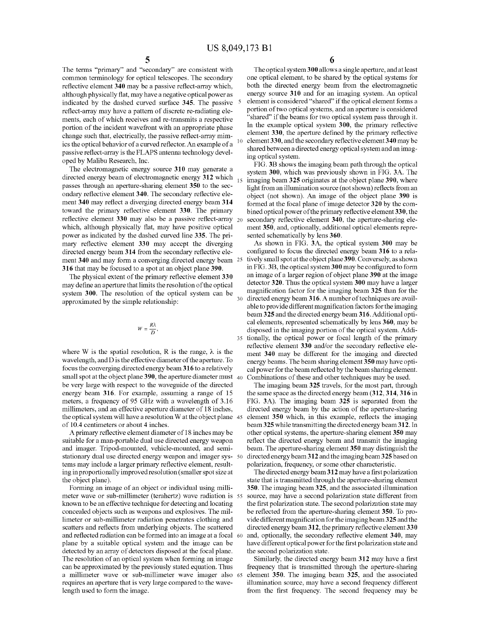10

15

30

The terms "primary" and "secondary" are consistent with common terminology for optical telescopes. The secondary reflective element 340 may be a passive reflect-array which, although physically flat, may have a negative optical power as indicated by the dashed curved surface 345. The passive reflect-array may have a pattern of discrete re-radiating ele ments, each of which receives and re-transmits a respective portion of the incident wavefront with an appropriate phase change such that, electrically, the passive reflect-array mimics the optical behavior of a curved reflector. An example of a passive reflect-array is the FLAPS antenna technology devel oped by Malibu Research, Inc.

The electromagnetic energy source 310 may generate a directed energy beam of electromagnetic energy 312 which passes through an aperture-sharing element 350 to the sec ondary reflective element 340. The secondary reflective ele ment 340 may reflect a diverging directed energy beam 314 toward the primary reflective element 330. The primary reflective element 330 may also be a passive reflect-array which, although physically flat, may have positive optical power as indicated by the dashed curved line 335. The pri mary reflective element 330 may accept the diverging directed energy beam 314 from the secondary reflective ele ment 340 and may form a converging directed energy beam 25 316 that may be focused to a spot at an object plane 390.

The physical extent of the primary reflective element 330 may define an aperture that limits the resolution of the optical system 300. The resolution of the optical system can be approximated by the simple relationship:

$$
W=\frac{R\lambda}{D},
$$

where W is the spatial resolution, R is the range,  $\lambda$  is the wavelength, and D is the effective diameter of the aperture. To focus the converging directed energy beam 316 to a relatively  $\boldsymbol{\delta}$  small spot at the object plane  $\boldsymbol{\delta}$ 90, the aperture diameter must  $\boldsymbol{\delta}$  40 be very large with respect to the waveguide of the directed energy beam 316. For example, assuming a range of 15 meters, a frequency of 95 GHz with a wavelength of 3.16 millimeters, and an effective aperture diameter of 18 inches, the optical system will have a resolution W at the object plane 45 of 10.4 centimeters or about 4 inches.

A primary reflective element diameter of 18 inches may be suitable for a man-portable dual use directed energy weapon and imager. Tripod-mounted, vehicle-mounted, and semi stationary dual use directed energy weapon and imager sys- 50 tems may include a larger primary reflective element, result ing in proportionally improved resolution (Smaller spot size at the object plane).

Forming an image of an object or individual using milli meter wave or sub-millimeter (terahertz) wave radiation is 55 known to be an effective technique for detecting and locating concealed objects Such as weapons and explosives. The mil limeter or Sub-millimeter radiation penetrates clothing and scatters and reflects from underlying objects. The scattered and reflected radiation can be formed into an image at a focal 60 plane by a suitable optical system and the image can be detected by an array of detectors disposed at the focal plane. The resolution of an optical system when forming an image. can be approximated by the previously stated equation. Thus a millimeter wave or Sub-millimeter wave imager also 65 requires an aperture that is very large compared to the wave length used to form the image.

6

The optical system 300 allows a single aperture, and at least one optical element, to be shared by the optical systems for both the directed energy beam from the electromagnetic energy source 310 and for an imaging system. An optical element is considered "shared" if the optical element forms a portion of two optical systems, and an aperture is considered 'shared" if the beams for two optical system pass through it. In the example optical system 300, the primary reflective element 330, the aperture defined by the primary reflective element 330, and the secondary reflective element 340 may be shared between a directed energy optical system and an imaging optical system.

FIG. 3B shows the imaging beam path through the optical system 300, which was previously shown in FIG. 3A. The imaging beam 325 originates at the object plane 390, where light from an illumination source (not shown) reflects from an object (not shown). An image of the object plane 390 is formed at the focal plane of image detector 320 by the com bined optical power of the primary reflective element 330, the secondary reflective element 340, the aperture-sharing ele ment 350, and, optionally, additional optical elements repre sented schematically by lens 360.

35 tionally, the optical power or focal length of the primary As shown in FIG. 3A, the optical system 300 may be configured to focus the directed energy beam 316 to a rela tively small spot at the object plane 390. Conversely, as shown in FIG.3B, the optical system 300 may be configured to form an image of a larger region of object plane 390 at the image detector 320. Thus the optical system 300 may have a larger magnification factor for the imaging beam 325 than for the directed energy beam 316. A number of techniques are avail able to provide different magnification factors for the imaging<br>beam 325 and the directed energy beam 316. Additional optical elements, represented schematically by lens 360, may be disposed in the imaging portion of the optical system. Addi reflective element 330 and/or the secondary reflective ele ment 340 may be different for the imaging and directed energy beams. The beam sharing element 350 may have opti cal power for the beam reflected by the beam sharing element. Combinations of these and other techniques may be used.

The imaging beam 325 travels, for the most part, through the same space as the directed energy beam (312, 314, 316 in FIG. 3A). The imaging beam 325 is separated from the directed energy beam by the action of the aperture-sharing element 350 which, in this example, reflects the imaging beam 325 while transmitting the directed energy beam 312. In other optical systems, the aperture-sharing element 350 may reflect the directed energy beam and transmit the imaging beam. The aperture-sharing element 350 may distinguish the directed energy beam 312 and the imaging beam 325 based on polarization, frequency, or some other characteristic.

The directed energy beam 312 may have a first polarization state that is transmitted through the aperture-sharing element 350. The imaging beam 325, and the associated illumination source, may have a second polarization state different from the first polarization state. The second polarization state may be reflected from the aperture-sharing element 350. To pro vide different magnification for the imaging beam 325 and the directed energy beam 312, the primary reflective element 330 and, optionally, the secondary reflective element 340, may have different optical power for the first polarization state and the second polarization state.

Similarly, the directed energy beam 312 may have a first frequency that is transmitted through the aperture-sharing element 350. The imaging beam 325, and the associated illumination source, may have a second frequency different from the first frequency. The second frequency may be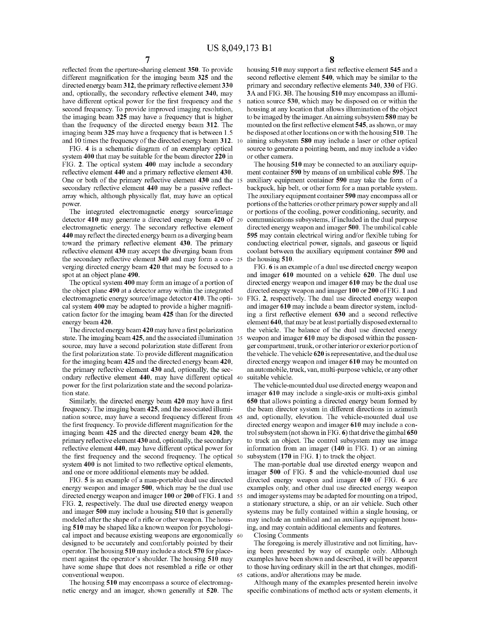reflected from the aperture-sharing element 350. To provide different magnification for the imaging beam 325 and the directed energy beam 312, the primary reflective element 330 and, optionally, the secondary reflective element 340, may have different optical power for the first frequency and the 5 second frequency. To provide improved imaging resolution, the imaging beam 325 may have a frequency that is higher than the frequency of the directed energy beam 312. The imaging beam 325 may have a frequency that is between 1.5 and 10 times the frequency of the directed energy beam 312.

FIG. 4 is a schematic diagram of an exemplary optical system 400 that may be suitable for the beam director 220 in FIG. 2. The optical system 400 may include a secondary reflective element 440 and a primary reflective element 430. One or both of the primary reflective element 430 and the 15 secondary reflective element 440 may be a passive reflect array which, although physically flat, may have an optical power.

The integrated electromagnetic energy source/image detector 410 may generate a directed energy beam 420 of 20 electromagnetic energy. The secondary reflective element 440 may reflect the directed energy beam as a diverging beam toward the primary reflective element 430. The primary reflective element 430 may accept the diverging beam from the secondary reflective element  $340$  and may form a con-  $25$ Verging directed energy beam 420 that may be focused to a spot at an object plane 490.

The optical system 400 may form an image of a portion of the object plane 490 at a detector array within the integrated the object plane 490 at a detector array within the integrated<br>electromagnetic energy source/image detector 410. The opti-30 cal system 400 may be adapted to provide a higher magnifi cation factor for the imaging beam 425 than for the directed energy beam 420.

The directed energy beam 420 may have a first polarization state. The imaging beam 425, and the associated illumination 35 source, may have a second polarization state different from the first polarization state. To provide different magnification for the imaging beam 425 and the directed energy beam 420, the primary reflective element 430 and, optionally, the sec ondary reflective element 440, may have different optical 40 power for the first polarization state and the second polariza tion state.

Similarly, the directed energy beam 420 may have a first frequency. The imaging beam 425, and the associated illumi nation source, may have a second frequency different from 45 the first frequency. To provide different magnification for the imaging beam 425 and the directed energy beam 420, the primary reflective element 430 and, optionally, the secondary reflective element 440, may have different optical power for the first frequency and the second frequency. The optical 50 system 400 is not limited to two reflective optical elements, and one or more additional elements may be added.

FIG. 5 is an example of a man-portable dual use directed energy weapon and imager 500, which may be the dual use directed energy weapon and imager 100 or 200 of FIG. 1 and 55 FIG. 2, respectively. The dual use directed energy weapon and imager 500 may include a housing 510 that is generally modeled after the shape of a rifle or other weapon. The hous ing 510 may be shaped like a known weapon for psychologi designed to be accurately and comfortably pointed by their operator. The housing 510 may include a stock 570 for place ment against the operator's shoulder. The housing 510 may have some shape that does not resembled a rifle or other conventional weapon. cal impact and because existing weapons are ergonomically 60

The housing 510 may encompass a source of electromagnetic energy and an imager, shown generally at 520. The

10 housing 510 may support a first reflective element 545 and a second reflective element 540, which may be similar to the primary and secondary reflective elements 340,330 of FIG. 3A and FIG.3B. The housing 510 may encompass an illumi nation source 530, which may be disposed on or within the housing at any location that allows illumination of the object to be imaged by the imager. An aiming subsystem 580 may be mounted on the first reflective element 545, as shown, or may be disposed at other locations on or with the housing 510. The aiming subsystem 580 may include a laser or other optical Source to generate a pointing beam, and may include a video or other camera.

The housing 510 may be connected to an auxiliary equipment container 590 by means of an umbilical cable 595. The auxiliary equipment container 590 may take the form of a backpack, hip belt, or other form for a man portable system. The auxiliary equipment container 590 may encompass all or portions of the batteries or other primary power supply and all or portions of the cooling, power conditioning, security, and communications subsystems, if included in the dual purpose directed energy weapon and imager 500. The umbilical cable 595 may contain electrical wiring and/or flexible tubing for conducting electrical power, signals, and gaseous or liquid coolant between the auxiliary equipment container 590 and the housing 510.

FIG. 6 is an example of a dual use directed energy weapon and imager 610 mounted on a vehicle 620. The dual use directed energy weapon and imager 610 may be the dual use directed energy weapon and imager 100 or 200 of FIG. 1 and FIG. 2, respectively. The dual use directed energy weapon and imager 610 may include a beam director system, includ ing a first reflective element 630 and a second reflective element 640, that may be at least partially disposed external to the vehicle. The balance of the dual use directed energy weapon and imager 610 may be disposed within the passen ger compartment, trunk, or other interior or exterior portion of the vehicle. The vehicle 620 is representative, and the dual use directed energy weapon and imager 610 may be mounted on an automobile, truck, Van, multi-purpose vehicle, or any other suitable vehicle.

The vehicle-mounted dual use directed energy weapon and imager 610 may include a single-axis or multi-axis gimbal 650 that allows pointing a directed energy beam formed by the beam director system in different directions in azimuth and, optionally, elevation. The vehicle-mounted dual use directed energy weapon and imager 610 may include a con trol subsystem (not shown in FIG. 6) that drive the gimbal 650 to track an object. The control subsystem may use image information from an imager (140 in FIG. 1) or an aiming subsystem (170 in FIG. 1) to track the object.

The man-portable dual use directed energy weapon and imager 500 of FIG. 5 and the vehicle-mounted dual use directed energy weapon and imager 610 of FIG. 6 are examples only, and other dual use directed energy weapon and imager systems may be adapted for mounting on a tripod, a stationary structure, a ship, or an air vehicle. Such other systems may be fully contained within a single housing, or may include an umbilical and an auxiliary equipment hous ing, and may contain additional elements and features.

Closing Comments

65

The foregoing is merely illustrative and not limiting, hav ing been presented by way of example only. Although examples have been shown and described, it will be apparent to those having ordinary skill in the art that changes, modifi cations, and/or alterations may be made.

Although many of the examples presented herein involve specific combinations of method acts or system elements, it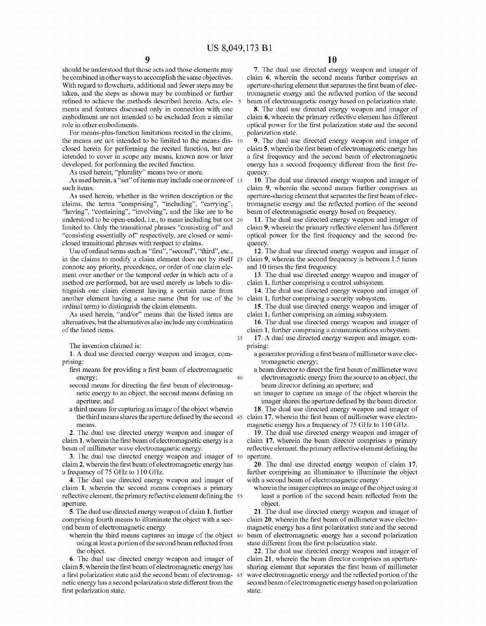$35$ 

 $40$ 

should be understood that those acts and those elements may be combined in other ways to accomplish the same objectives. With regard to flowcharts, additional and fewer steps may be taken, and the steps as shown may be combined or further refined to achieve the methods described herein. Acts, ele- 5 ments and features discussed only in connection with one embodiment are not intended to be excluded from a similar role in other embodiments.

For means-plus-function limitations recited in the claims, the means are not intended to be limited to the means dis-10 closed herein for performing the recited function, but are intended to cover in scope any means, known now or later developed, for performing the recited function.

As used herein, "plurality" means two or more.

As used herein, a "set" of items may include one or more of 15 such items.

As used herein, whether in the written description or the claims, the terms "comprising", "including", "carrying", "having", "containing", "involving", and the like are to be understood to be open-ended, i.e., to mean including but not 20 limited to. Only the transitional phrases "consisting of" and "consisting essentially of" respectively, are closed or semiclosed transitional phrases with respect to claims.

Use of ordinal terms such as "first", "second", "third", etc., in the claims to modify a claim element does not by itself 25 claim 9, wherein the second frequency is between 1.5 times connote any priority, precedence, or order of one claim element over another or the temporal order in which acts of a method are performed, but are used merely as labels to distinguish one claim element having a certain name from another element having a same name (but for use of the 30 ordinal term) to distinguish the claim elements.

As used herein, "and/or" means that the listed items are alternatives, but the alternatives also include any combination of the listed items.

The invention claimed is:

1. A dual use directed energy weapon and imager, comprising:

- first means for providing a first beam of electromagnetic energy:
- second means for directing the first beam of electromagnetic energy to an object, the second means defining an aperture; and
- a third means for capturing an image of the object wherein means.

2. The dual use directed energy weapon and imager of claim 1, wherein the first beam of electromagnetic energy is a beam of millimeter wave electromagnetic energy.

3. The dual use directed energy weapon and imager of 50 claim 2, wherein the first beam of electromagnetic energy has a frequency of 75 GHz to 110 GHz.

4. The dual use directed energy weapon and imager of claim 1, wherein the second means comprises a primary reflective element, the primary reflective element defining the 55 aperture.

5. The dual use directed energy weapon of claim 1, further comprising fourth means to illuminate the object with a second beam of electromagnetic energy

wherein the third means captures an image of the object 60 using at least a portion of the second beam reflected from the object.

6. The dual use directed energy weapon and imager of claim 5, wherein the first beam of electromagnetic energy has a first polarization state and the second beam of electromag-65 netic energy has a second polarization state different from the first polarization state.

7. The dual use directed energy weapon and imager of claim 6, wherein the second means further comprises an aperture-sharing element that separates the first beam of electromagnetic energy and the reflected portion of the second beam of electromagnetic energy based on polarization state.

8. The dual use directed energy weapon and imager of claim 6, wherein the primary reflective element has different optical power for the first polarization state and the second polarization state.

9. The dual use directed energy weapon and imager of claim 5, wherein the first beam of electromagnetic energy has a first frequency and the second beam of electromagnetic energy has a second frequency different from the first frequency.

10. The dual use directed energy weapon and imager of claim 9, wherein the second means further comprises an aperture-sharing element that separates the first beam of electromagnetic energy and the reflected portion of the second beam of electromagnetic energy based on frequency.

11. The dual use directed energy weapon and imager of claim 9, wherein the primary reflective element has different optical power for the first frequency and the second frequency.

12. The dual use directed energy weapon and imager of and 10 times the first frequency.

13. The dual use directed energy weapon and imager of claim 1, further comprising a control subsystem.

14. The dual use directed energy weapon and imager of claim 1, further comprising a security subsystem.

- 15. The dual use directed energy weapon and imager of claim 1, further comprising an aiming subsystem.
- 16. The dual use directed energy weapon and imager of claim 1, further comprising a communications subsystem.

17. A dual use directed energy weapon and imager, comprising:

- a generator providing a first beam of millimeter wave electromagnetic energy;
- a beam director to direct the first beam of millimeter wave electromagnetic energy from the source to an object, the beam director defining an aperture; and

an imager to capture an image of the object wherein the imager shares the aperture defined by the beam director.

18. The dual use directed energy weapon and imager of the third means shares the aperture defined by the second 45 claim 17, wherein the first beam of millimeter wave electromagnetic energy has a frequency of 75 GHz to 110 GHz.

19. The dual use directed energy weapon and imager of claim 17, wherein the beam director comprises a primary reflective element, the primary reflective element defining the aperture.

20. The dual use directed energy weapon of claim 17, further comprising an illuminator to illuminate the object with a second beam of electromagnetic energy

wherein the imager captures an image of the object using at least a portion of the second beam reflected from the object.

21. The dual use directed energy weapon and imager of claim 20, wherein the first beam of millimeter wave electromagnetic energy has a first polarization state and the second beam of electromagnetic energy has a second polarization state different from the first polarization state.

22. The dual use directed energy weapon and imager of claim 21, wherein the beam director comprises an aperturesharing element that separates the first beam of millimeter wave electromagnetic energy and the reflected portion of the second beam of electromagnetic energy based on polarization state.